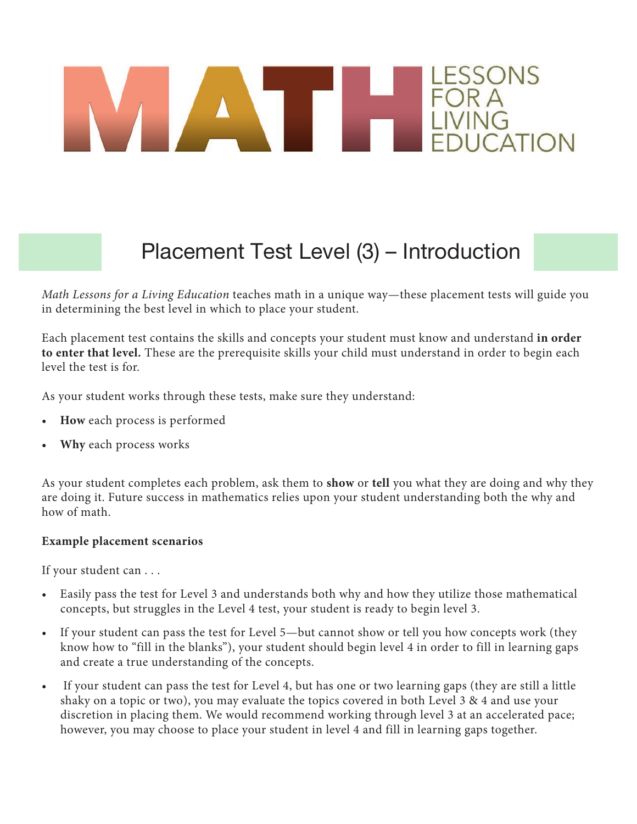# ESSONS

#### Placement Test Level (3) – Introduction

*Math Lessons for a Living Education* teaches math in a unique way—these placement tests will guide you in determining the best level in which to place your student.

Each placement test contains the skills and concepts your student must know and understand **in order to enter that level.** These are the prerequisite skills your child must understand in order to begin each level the test is for.

As your student works through these tests, make sure they understand:

- **How** each process is performed
- **Why** each process works

As your student completes each problem, ask them to **show** or **tell** you what they are doing and why they are doing it. Future success in mathematics relies upon your student understanding both the why and how of math.

#### **Example placement scenarios**

If your student can . . .

- Easily pass the test for Level 3 and understands both why and how they utilize those mathematical concepts, but struggles in the Level 4 test, your student is ready to begin level 3.
- If your student can pass the test for Level 5—but cannot show or tell you how concepts work (they know how to "fill in the blanks"), your student should begin level 4 in order to fill in learning gaps and create a true understanding of the concepts.
- If your student can pass the test for Level 4, but has one or two learning gaps (they are still a little shaky on a topic or two), you may evaluate the topics covered in both Level 3 & 4 and use your discretion in placing them. We would recommend working through level 3 at an accelerated pace; however, you may choose to place your student in level 4 and fill in learning gaps together.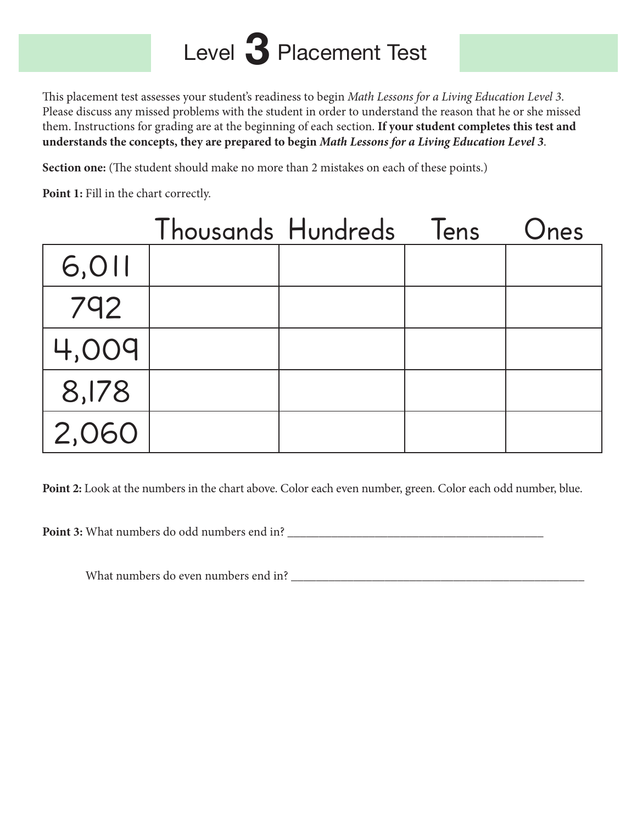# Level 3 Placement Test

This placement test assesses your student's readiness to begin *Math Lessons for a Living Education Level 3*. Please discuss any missed problems with the student in order to understand the reason that he or she missed them. Instructions for grading are at the beginning of each section. **If your student completes this test and understands the concepts, they are prepared to begin** *Math Lessons for a Living Education Level 3*.

**Section one:** (The student should make no more than 2 mistakes on each of these points.)

**Point 1:** Fill in the chart correctly.

|       | Thousands Hundreds | lens | Ones |
|-------|--------------------|------|------|
| 6,011 |                    |      |      |
| 792   |                    |      |      |
| 4,009 |                    |      |      |
| 8,178 |                    |      |      |
| 2,060 |                    |      |      |

**Point 2:** Look at the numbers in the chart above. Color each even number, green. Color each odd number, blue.

**Point 3:** What numbers do odd numbers end in? \_\_\_\_\_\_\_\_\_\_\_\_\_\_\_\_\_\_\_\_\_\_\_\_\_\_\_\_\_\_\_\_\_\_\_\_\_\_\_\_\_

What numbers do even numbers end in? \_\_\_\_\_\_\_\_\_\_\_\_\_\_\_\_\_\_\_\_\_\_\_\_\_\_\_\_\_\_\_\_\_\_\_\_\_\_\_\_\_\_\_\_\_\_\_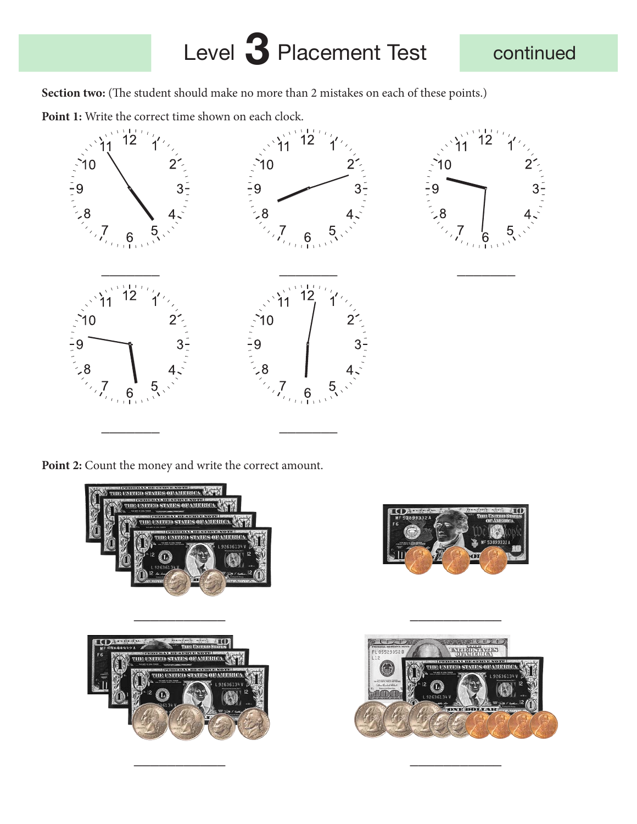## Level 3 Placement Test continued

Section two: (The student should make no more than 2 mistakes on each of these points.)

Point 1: Write the correct time shown on each clock.



Point 2: Count the money and write the correct amount.





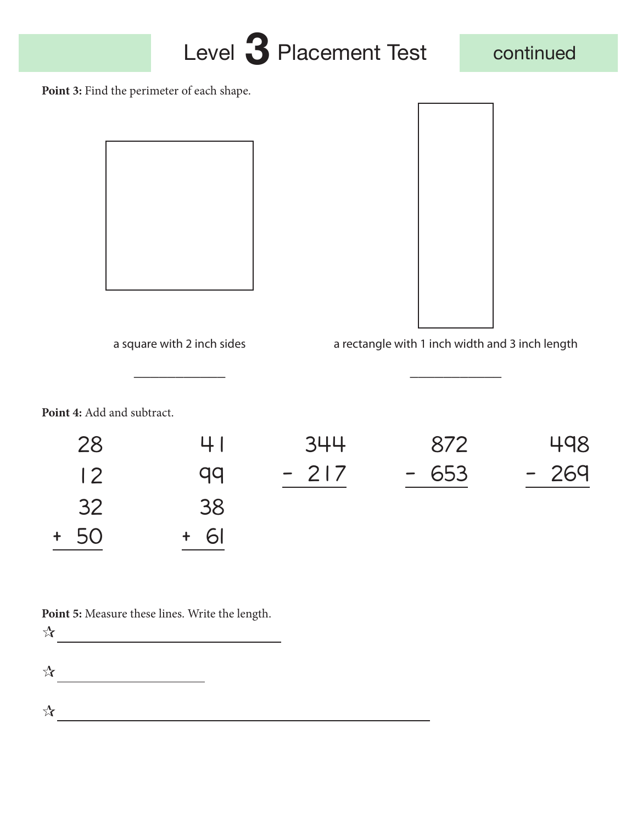



Point 3: Find the perimeter of each shape.





a square with 2 inch sides a rectangle with 1 inch width and 3 inch length

**Point 4:** Add and subtract.

| 28             | 41   | 344    | 872    | 498    |
|----------------|------|--------|--------|--------|
| $\overline{2}$ | qq   | $-217$ | $-653$ | $-269$ |
| 32             | 38   |        |        |        |
| $+ 50$         | + 61 |        |        |        |

\_\_\_\_\_\_\_\_\_\_\_ \_\_\_\_\_\_\_\_\_\_\_

**Point 5:** Measure these lines. Write the length.

 $\frac{1}{2}$ 

 $\frac{1}{2}$ 

 $\mathcal{R}$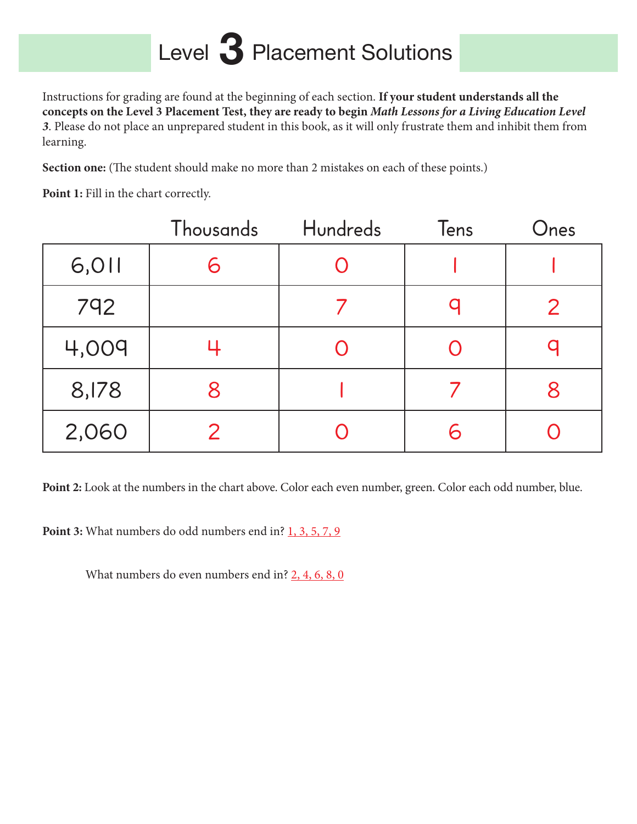## Level 3 Placement Solutions

Instructions for grading are found at the beginning of each section. **If your student understands all the concepts on the Level 3 Placement Test, they are ready to begin** *Math Lessons for a Living Education Level 3*. Please do not place an unprepared student in this book, as it will only frustrate them and inhibit them from learning.

**Section one:** (The student should make no more than 2 mistakes on each of these points.)

Point 1: Fill in the chart correctly.

|       | <b>Thousands</b> | Hundreds | Tens | Ones         |
|-------|------------------|----------|------|--------------|
| 6,011 |                  |          |      |              |
| 792   |                  |          |      | $\mathcal P$ |
| 4,009 |                  |          |      |              |
| 8,178 |                  |          |      |              |
| 2,060 |                  |          |      |              |

**Point 2:** Look at the numbers in the chart above. Color each even number, green. Color each odd number, blue.

Point 3: What numbers do odd numbers end in? 1, 3, 5, 7, 9

What numbers do even numbers end in? 2, 4, 6, 8, 0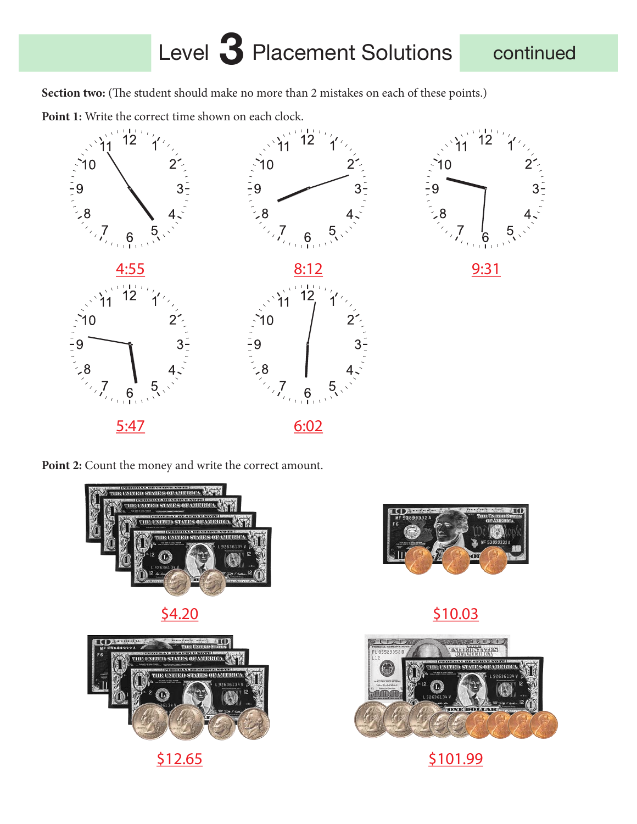#### Level 3 Placement Solutions continued

Section two: (The student should make no more than 2 mistakes on each of these points.)

Point 1: Write the correct time shown on each clock.



Point 2: Count the money and write the correct amount.











 $\frac{$4.20}{$10.03}$ 



#### \$12.65 \$101.99